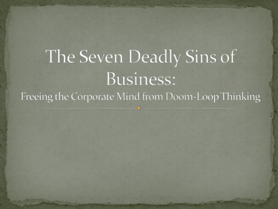# The Seven Deadly Sins of Business: Freeing the Corporate Mind from Doom-Loop Thinking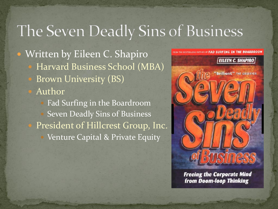• Written by Eileen C. Shapiro Harvard Business School (MBA) Brown University (BS) Author

> Fad Surfing in the Boardroom Seven Deadly Sins of Business President of Hillcrest Group, Inc. Venture Capital & Private Equity



**Freeing the Corporate Mind** from Doom-loop Thinking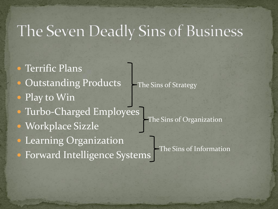Terrific Plans **• Outstanding Products**  Play to Win Turbo-Charged Employees • Workplace Sizzle **• Learning Organization** Forward Intelligence Systems

The Sins of Strategy

The Sins of Organization

The Sins of Information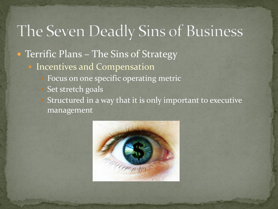#### • Terrific Plans – The Sins of Strategy Incentives and Compensation

- Focus on one specific operating metric
- Set stretch goals

 Structured in a way that it is only important to executive management

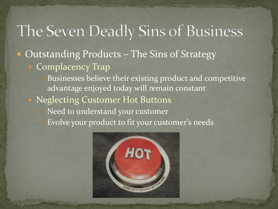#### • Outstanding Products - The Sins of Strategy Complacency Trap

- Businesses believe their existing product and competitive advantage enjoyed today will remain constant
- Neglecting Customer Hot Buttons
	- Need to understand your customer
	- Evolve your product to fit your customer's needs

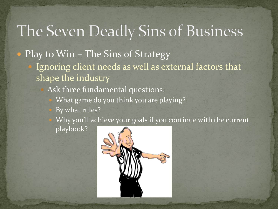• Play to Win – The Sins of Strategy Ignoring client needs as well as external factors that shape the industry

Ask three fundamental questions:

What game do you think you are playing?

By what rules?

Why you'll achieve your goals if you continue with the current

playbook?

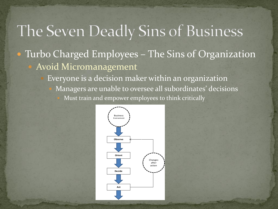#### • Turbo Charged Employees – The Sins of Organization Avoid Micromanagement

 Everyone is a decision maker within an organization Managers are unable to oversee all subordinates' decisions Must train and empower employees to think critically

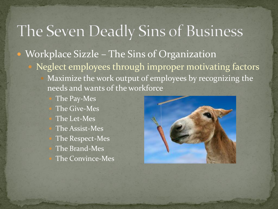• Workplace Sizzle – The Sins of Organization Neglect employees through improper motivating factors Maximize the work output of employees by recognizing the needs and wants of the workforce

> The Pay-Mes The Give-Mes The Let-Mes The Assist-Mes The Respect-Mes The Brand-Mes The Convince-Mes

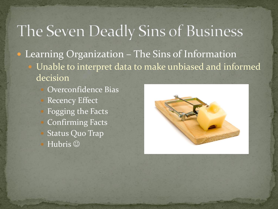- Learning Organization The Sins of Information Unable to interpret data to make unbiased and informed decision
	- Overconfidence Bias
	- **Recency Effect**
	- **Fogging the Facts**
	- **Confirming Facts**
	- **Status Quo Trap**
	- Hubris ©